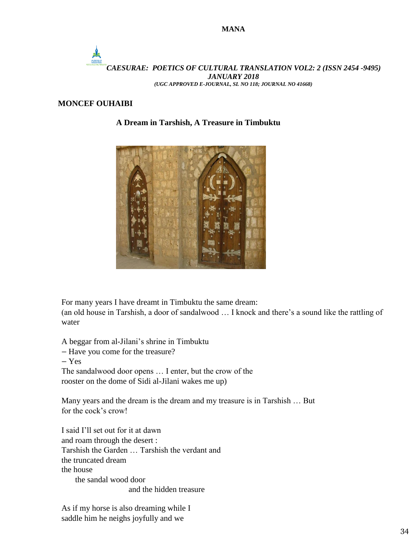

## **MONCEF OUHAIBI**

## **A Dream in Tarshish, A Treasure in Timbuktu**



For many years I have dreamt in Timbuktu the same dream:

(an old house in Tarshish, a door of sandalwood … I knock and there's a sound like the rattling of water

A beggar from al-Jilani's shrine in Timbuktu

- Have you come for the treasure?
- Yes

The sandalwood door opens … I enter, but the crow of the rooster on the dome of Sidi al-Jilani wakes me up)

Many years and the dream is the dream and my treasure is in Tarshish … But for the cock's crow!

I said I'll set out for it at dawn and roam through the desert : Tarshish the Garden … Tarshish the verdant and the truncated dream the house the sandal wood door and the hidden treasure

As if my horse is also dreaming while I saddle him he neighs joyfully and we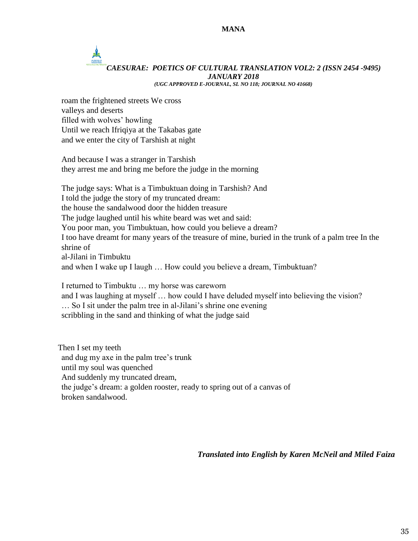# *CAESURAE: POETICS OF CULTURAL TRANSLATION VOL2: 2 (ISSN 2454 -9495) JANUARY 2018*

*(UGC APPROVED E-JOURNAL, SL NO 118; JOURNAL NO 41668)*

roam the frightened streets We cross valleys and deserts filled with wolves' howling Until we reach Ifriqiya at the Takabas gate and we enter the city of Tarshish at night

And because I was a stranger in Tarshish they arrest me and bring me before the judge in the morning

The judge says: What is a Timbuktuan doing in Tarshish? And I told the judge the story of my truncated dream: the house the sandalwood door the hidden treasure The judge laughed until his white beard was wet and said: You poor man, you Timbuktuan, how could you believe a dream? I too have dreamt for many years of the treasure of mine, buried in the trunk of a palm tree In the shrine of al-Jilani in Timbuktu and when I wake up I laugh … How could you believe a dream, Timbuktuan?

I returned to Timbuktu … my horse was careworn and I was laughing at myself … how could I have deluded myself into believing the vision? … So I sit under the palm tree in al-Jilani's shrine one evening scribbling in the sand and thinking of what the judge said

Then I set my teeth and dug my axe in the palm tree's trunk until my soul was quenched And suddenly my truncated dream, the judge's dream: a golden rooster, ready to spring out of a canvas of broken sandalwood.

*Translated into English by Karen McNeil and Miled Faiza*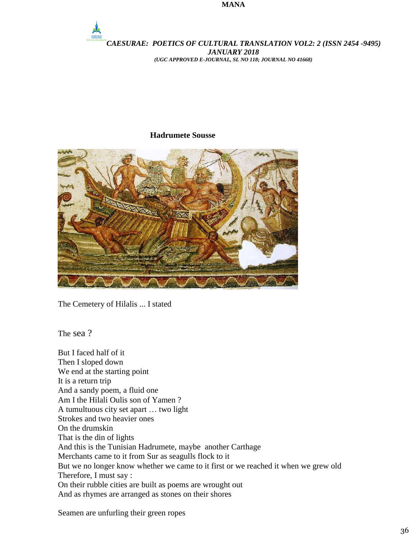#### **MANA**



# **Hadrumete Sousse**



The Cemetery of Hilalis ... I stated

The sea ?

But I faced half of it Then I sloped down We end at the starting point It is a return trip And a sandy poem, a fluid one Am I the Hilali Oulis son of Yamen ? A tumultuous city set apart … two light Strokes and two heavier ones On the drumskin That is the din of lights And this is the Tunisian Hadrumete, maybe another Carthage Merchants came to it from Sur as seagulls flock to it But we no longer know whether we came to it first or we reached it when we grew old Therefore, I must say : On their rubble cities are built as poems are wrought out And as rhymes are arranged as stones on their shores

Seamen are unfurling their green ropes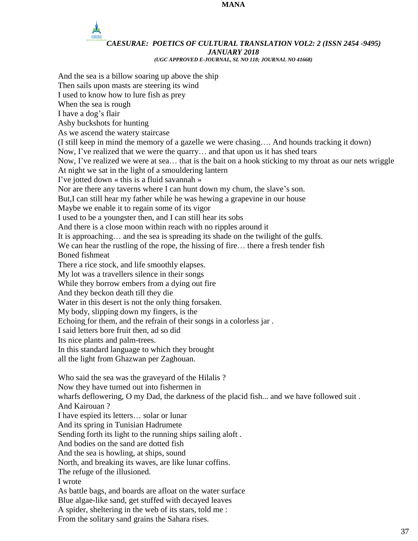#### **MANA**

# *CAESURAE: POETICS OF CULTURAL TRANSLATION VOL2: 2 (ISSN 2454 -9495) JANUARY 2018*

*(UGC APPROVED E-JOURNAL, SL NO 118; JOURNAL NO 41668)*

And the sea is a billow soaring up above the ship Then sails upon masts are steering its wind I used to know how to lure fish as prey When the sea is rough I have a dog's flair Ashy buckshots for hunting As we ascend the watery staircase (I still keep in mind the memory of a gazelle we were chasing…. And hounds tracking it down) Now, I've realized that we were the quarry… and that upon us it has shed tears Now, I've realized we were at sea… that is the bait on a hook sticking to my throat as our nets wriggle At night we sat in the light of a smouldering lantern I've jotted down « this is a fluid savannah » Nor are there any taverns where I can hunt down my chum, the slave's son. But,I can still hear my father while he was hewing a grapevine in our house Maybe we enable it to regain some of its vigor I used to be a youngster then, and I can still hear its sobs And there is a close moon within reach with no ripples around it It is approaching… and the sea is spreading its shade on the twilight of the gulfs. We can hear the rustling of the rope, the hissing of fire... there a fresh tender fish Boned fishmeat There a rice stock, and life smoothly elapses. My lot was a travellers silence in their songs While they borrow embers from a dying out fire And they beckon death till they die Water in this desert is not the only thing forsaken. My body, slipping down my fingers, is the Echoing for them, and the refrain of their songs in a colorless jar . I said letters bore fruit then, ad so did Its nice plants and palm-trees. In this standard language to which they brought all the light from Ghazwan per Zaghouan. Who said the sea was the graveyard of the Hilalis ? Now they have turned out into fishermen in wharfs deflowering, O my Dad, the darkness of the placid fish... and we have followed suit . And Kairouan ? I have espied its letters… solar or lunar And its spring in Tunisian Hadrumete Sending forth its light to the running ships sailing aloft . And bodies on the sand are dotted fish And the sea is howling, at ships, sound North, and breaking its waves, are like lunar coffins. The refuge of the illusioned. I wrote As battle bags, and boards are afloat on the water surface Blue algae-like sand, get stuffed with decayed leaves A spider, sheltering in the web of its stars, told me : From the solitary sand grains the Sahara rises.